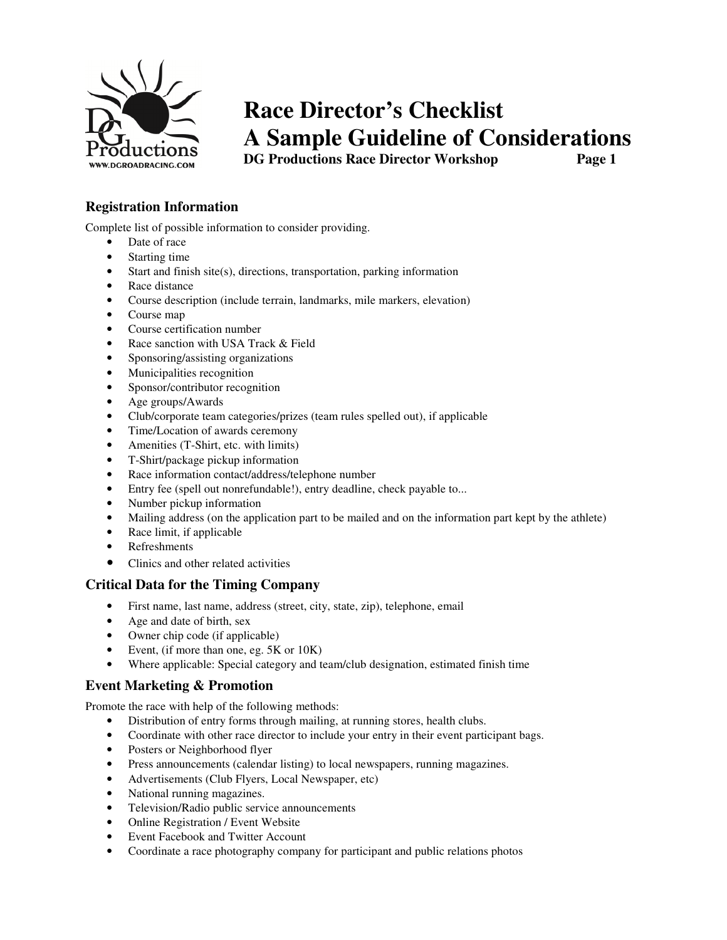

# **Race Director's Checklist A Sample Guideline of Considerations DG Productions Race Director Workshop Page 1**

## **Registration Information**

Complete list of possible information to consider providing.

- Date of race
- Starting time
- Start and finish site(s), directions, transportation, parking information
- Race distance
- Course description (include terrain, landmarks, mile markers, elevation)
- Course map
- Course certification number
- Race sanction with USA Track & Field
- Sponsoring/assisting organizations
- Municipalities recognition
- Sponsor/contributor recognition
- Age groups/Awards
- Club/corporate team categories/prizes (team rules spelled out), if applicable
- Time/Location of awards ceremony
- Amenities (T-Shirt, etc. with limits)
- T-Shirt/package pickup information
- Race information contact/address/telephone number
- Entry fee (spell out nonrefundable!), entry deadline, check payable to...
- Number pickup information
- Mailing address (on the application part to be mailed and on the information part kept by the athlete)
- Race limit, if applicable
- Refreshments
- Clinics and other related activities

### **Critical Data for the Timing Company**

- First name, last name, address (street, city, state, zip), telephone, email
- Age and date of birth, sex
- Owner chip code (if applicable)
- Event, (if more than one, eg. 5K or 10K)
- Where applicable: Special category and team/club designation, estimated finish time

### **Event Marketing & Promotion**

Promote the race with help of the following methods:

- Distribution of entry forms through mailing, at running stores, health clubs.
- Coordinate with other race director to include your entry in their event participant bags.
- Posters or Neighborhood flyer
- Press announcements (calendar listing) to local newspapers, running magazines.
- Advertisements (Club Flyers, Local Newspaper, etc)
- National running magazines.
- Television/Radio public service announcements
- Online Registration / Event Website
- Event Facebook and Twitter Account
- Coordinate a race photography company for participant and public relations photos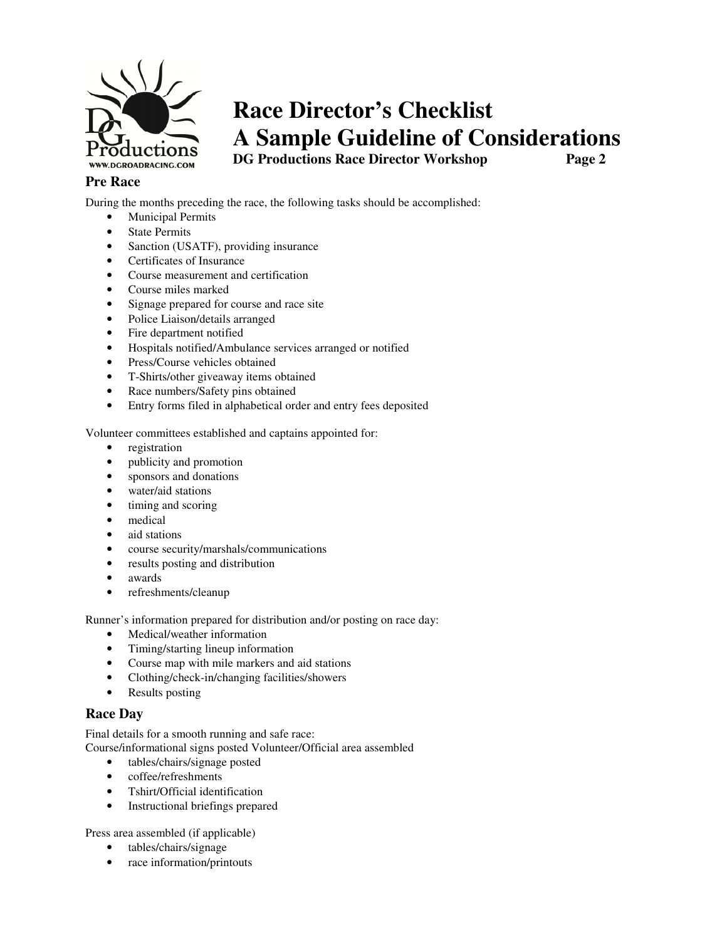

# **Race Director's Checklist A Sample Guideline of Considerations DG Productions Race Director Workshop Page 2**

**Pre Race** 

During the months preceding the race, the following tasks should be accomplished:

- Municipal Permits
- **State Permits**
- Sanction (USATF), providing insurance
- Certificates of Insurance
- Course measurement and certification
- Course miles marked
- Signage prepared for course and race site
- Police Liaison/details arranged
- Fire department notified
- Hospitals notified/Ambulance services arranged or notified
- Press/Course vehicles obtained
- T-Shirts/other giveaway items obtained
- Race numbers/Safety pins obtained
- Entry forms filed in alphabetical order and entry fees deposited

Volunteer committees established and captains appointed for:

- registration
- publicity and promotion
- sponsors and donations
- water/aid stations
- timing and scoring
- medical
- aid stations
- course security/marshals/communications
- results posting and distribution
- awards
- refreshments/cleanup

Runner's information prepared for distribution and/or posting on race day:

- Medical/weather information
- Timing/starting lineup information
- Course map with mile markers and aid stations
- Clothing/check-in/changing facilities/showers
- Results posting

### **Race Day**

Final details for a smooth running and safe race:

Course/informational signs posted Volunteer/Official area assembled

- tables/chairs/signage posted
- coffee/refreshments
- Tshirt/Official identification
- Instructional briefings prepared

Press area assembled (if applicable)

- tables/chairs/signage
- race information/printouts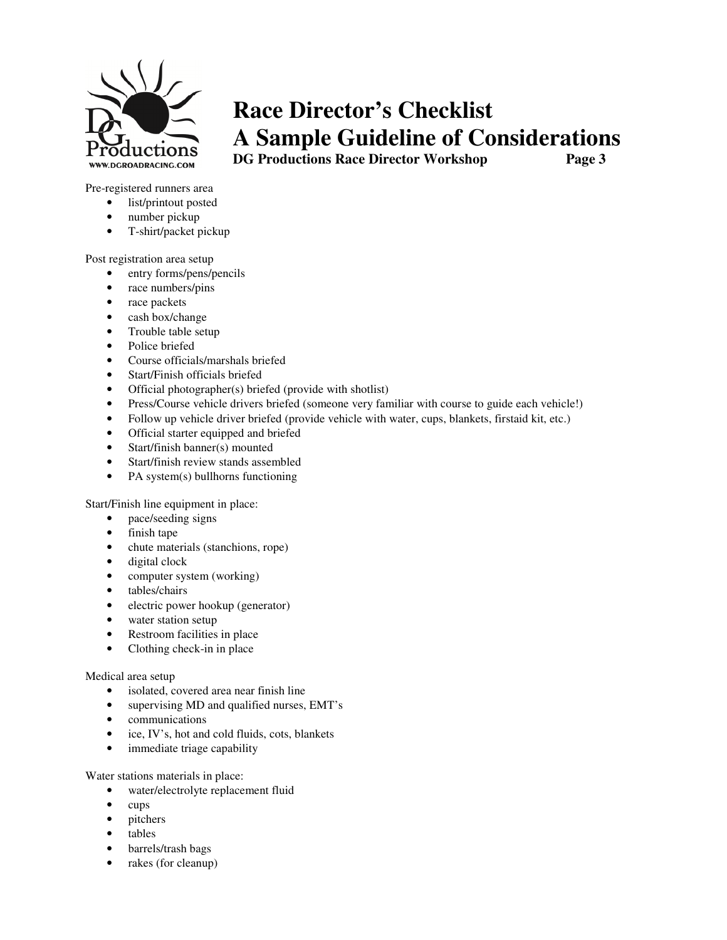

# **Race Director's Checklist A Sample Guideline of Considerations**

**DG Productions Race Director Workshop Page 3** 

Pre-registered runners area

- list/printout posted
- number pickup
- T-shirt/packet pickup

Post registration area setup

- entry forms/pens/pencils
- race numbers/pins
- race packets
- cash box/change
- Trouble table setup
- Police briefed
- Course officials/marshals briefed
- Start/Finish officials briefed
- Official photographer(s) briefed (provide with shotlist)
- Press/Course vehicle drivers briefed (someone very familiar with course to guide each vehicle!)
- Follow up vehicle driver briefed (provide vehicle with water, cups, blankets, firstaid kit, etc.)
- Official starter equipped and briefed
- Start/finish banner(s) mounted
- Start/finish review stands assembled
- PA system(s) bullhorns functioning

Start/Finish line equipment in place:

- pace/seeding signs
- finish tape
- chute materials (stanchions, rope)
- digital clock
- computer system (working)
- tables/chairs
- electric power hookup (generator)
- water station setup
- Restroom facilities in place
- Clothing check-in in place

#### Medical area setup

- isolated, covered area near finish line
- supervising MD and qualified nurses, EMT's
- communications
- ice, IV's, hot and cold fluids, cots, blankets
- immediate triage capability

Water stations materials in place:

- water/electrolyte replacement fluid
- cups
- pitchers
- tables
- barrels/trash bags
- rakes (for cleanup)